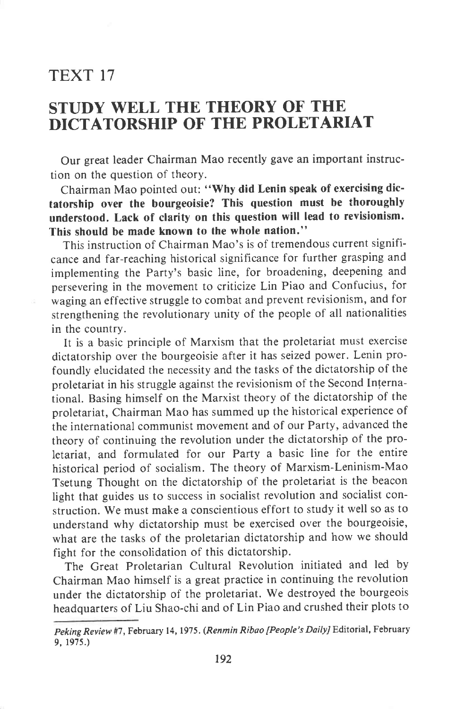## TEXT <sup>17</sup>

## STUDY WELL THE THEORY OF THE DICTATORSHIP OF THE PROLETARIAT

Our great leader Chairman Mao recently gave an important instruction on the question of theory.

Chairman Mao pointed out: "Why did Lenin speak of exercising dictatorship over the bourgeoisie? This question must be thoroughly understood. Lack of clarity on this question will lead to revisionism. This should be made known to the whole nation."

This instruction of Chairman Mao's is of tremendous current significance and far-reaching historical significance for further grasping and implementing the Party's basic line, for broadening, deepening and persevering in the movement to criticize Lin Piao and Confucius, for waging an effective struggle to combat and prevent revisionism, and for strengthening the revolutionary unity of the people of all nationalities in the country.

It is a basic principle of Marxism that the proletariat must exercise dictatorship over the bourgeoisie after it has seized power. Lenin profoundly elucidated the necessity and the tasks of the dictatorship of the proletariat in his struggle against the revisionism of the Second Infernational. Basing himself on the Marxist theory of the dictatorship of the proletariat, Chairman Mao has summed up the historical experience of the international communist movement and of our Party, advanced the theory of continuing the revolution under the dictatorship of the proletariat, and formulated for our Party a basic line for the entire historical period of socialism. The theory of Marxism-Leninism-Mao Tsetung Thought on the dictatorship of the proletariat is the beacon light that guides us to success in socialist revolution and socialist construction. We must make a conscientious effort to study it well so as to understand why dictatorship must be exercised over the bourgeoisie, what are the tasks of the proletarian dictatorship and how we should fight for the consolidation of this dictatorship.

The Great Proletarian Cultural Revolution initiated and led by Chairman Mao himself is a great practice in continuing the revolution under the dictatorship of the proletariat. We destroyed the bourgeois headquarters of Liu Shao-chi and of Lin Piao and crushed their plots to

Peking Review #7, February 14, 1975. (Renmin Ribao [People's Daily] Editorial, February 9, 1975.)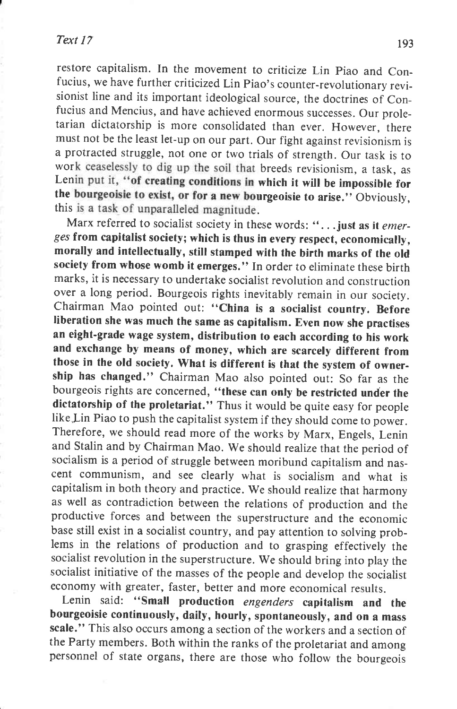## Text 17

restore capitalism. In the movement to criticize Lin piao and confucius, we have further criticized Lin piao's counter-revolutionary revisionist line and its important ideological source, the doctrines of confucius and Mencius, and have achieved enormous successes. Our proletarian dictatorship is more consolidated than ever. However, there must not be the least let-up on our part. Our fight against revisionism is a protracted struggle, not one or two trials of strength. Our task is to work ceaselessly to dig up the soil that breeds revisionism, a task, as Lenin put it, "of creating conditions in which it will be impossible for the bourgeoisie to exist, or for a new bourgeoisie to arise." Obviously, this is a task of unparalleled magnitude.

Marx referred to socialist society in these words: "... just as it emerges from capitalist society; which is thus in every respect, economically, morally and intellectually, stitl stamped with the birth marks of the old society from whose womb it emerges." In order to eliminate these birth marks, it is necessary to undertake socialist revolution and construction over a long period. Bourgeois rights inevitably remain in our society. chairman Mao pointed out: "china is a socialist country. Before liberation she was much the same as capitalism. Even now she practises an eight-grade wage system, distribution to each according to his work and exchange by means of money, which are scarcely different from those in the old society. what is different is that the system of ownership has changed." Chairman Mao also pointed out: So far as the bourgeois rights are concerned, "these can only be restricted under the dictatorship of the proletariat." Thus it would be quite easy for people like.Lin Piao to push the capitalist system if they should come to power. Therefore, we should read more of the works by Marx, Engels, Lenin and Stalin and by chairman Mao. we should realize that the period of socialism is a period of struggle between moribund capitalism and nascent communism, and see clearly what is socialism and what is capitalism in both theory and practice. we should realize that harmony as well as contradiction between the relations of production and the productive forces and between the superstructure and the economic base still exist in a socialist country, and pay attention to solving problems in the relations of production and to grasping effectively the socialist revolution in the superstructure. we should bring into play the socialist initiative of the masses of the people and develop the socialist economy with greater, faster, better and more economical results.

Lenin said: "Small production engenders capitalism and the bourgeoisie continuously, daily, hourly, spontaneously, and on a mass scale." This also occurs among a section of the workers and a section of the Party members. Both within the ranks of the proletariat and among personnel of state organs, there are those who follow the bourgeois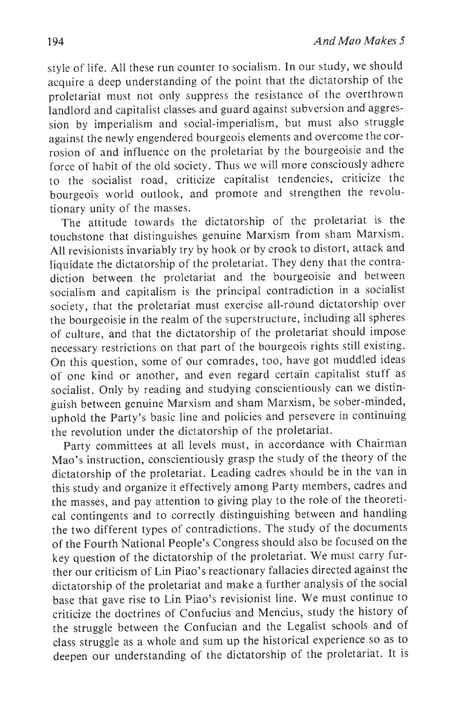style of life. All these run counter to socialism. In our study, we should acquire a deep understanding of the point that the dictatorship of the proletariat must not only suppress the resistance of the overthrown landlord and capitalist classes and guard against subversion and aggression by imperialism and social-imperialism, but must also struggle against the newly engendered bourgeois elements and overcome the corrosion of and influence on the proletariat by the bourgeoisie and the force of habit of the old society. Thus we will more consciously adhere to the socialist road, criticize capitalist tendencies, criticize the bourgeois world outlook, and promote and strengthen the revolutionary unity of the masses.

The attitude towards the dictatorship of the proletariat is the touchstone that distinguishes genuine Marxism from sham Marxism. All revisionists invariably try by hook or by crook to distort, attack and liquidate the dictatorship of the proletariat. They deny that the contradiction between the proletariat and the bourgeoisie and between socialism and capitalism is the principal contradiction in a socialist society, that the proletariat must exercise all-round dictatorship over the bourgeoisie in the realm of the superstructure, including all spheres of culture, and that the dictatorship of the proletariat should impose necessary restrictions on that part of the bourgeois rights still existing. On this question, some of our comrades, too, have got muddled ideas of one kind or another, and even regard certain capitalist stuff as socialist. Only by reading and studying conscientiously can we distinguish between genuine Marxism and sham Marxism, be sober-minded, uphold the Party's basic line and policies and persevere in continuing the revolution under the dictatorship of the proletariat.

Party committees at all levels must, in accordance with Chairman Mao's instruction, conscientiously grasp the study of the theory of the dictatorship of the proletariat. Leading cadres should be in the van in this study and organize it effectively among Party members, cadres and the masses, and pay attention to giving play to the role of the theoretical contingents and to correctly distinguishing between and handling the two different types of contradictions. The study of the documents of the Fourth National People's Congress should also be focused on the key question of the dictatorship of the proletariat. we must carry further our criticism of Lin Piao's reactionary fallacies directed against the dictatorship of the proletariat and make a further analysis of the social base that gave rise to Lin Piao's revisionist line. We must continue to criticize the doctrines of Confucius and Mencius, study the history of the struggle between the Confucian and the Legalist schools and of class struggle as a whole and sum up the historical experience so as to deepen our understanding of the dictatorship of the proletariat. It is